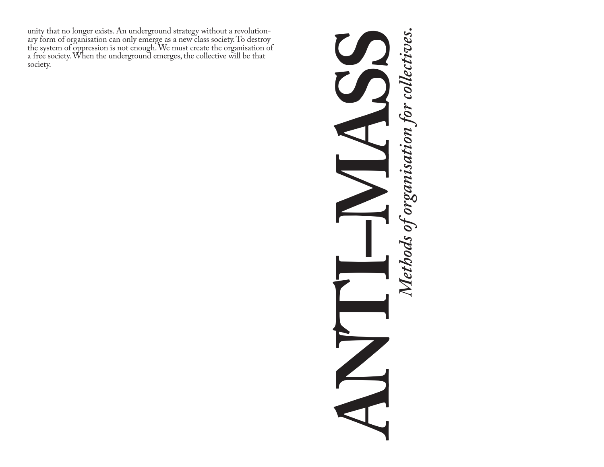unity that no longer exists. An underground strategy without a revolution-<br>ary form of organisation can only emerge as a new class society. To destroy the system of oppression is not enough. We must create the organisation of a free society. When the underground emerges, the collective will be that society.

# **ANTI–MASS**  Methods of organisation for collectives. *Methods of organisation for collectives.* $\sum_{r=1}^{n}$  $\blacktriangle$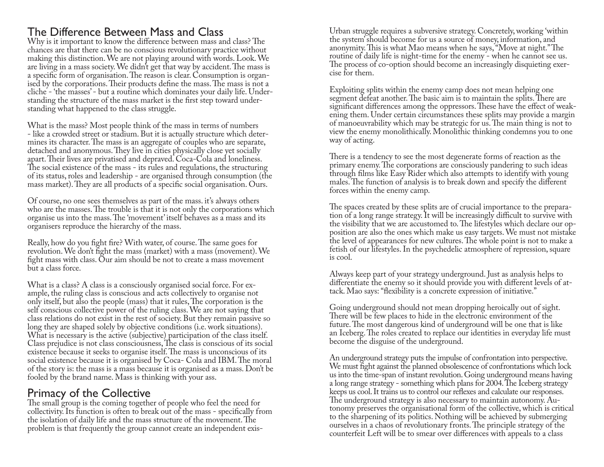# The Difference Between Mass and Class

Why is it important to know the difference between mass and class? The chances are that there can be no conscious revolutionary practice without making this distinction. We are not playing around with words. Look. We are living in a mass society. We didn't get that way by accident. The mass is a specific form of organisation. The reason is clear. Consumption is organised by the corporations. Their products define the mass. The mass is not a cliche - 'the masses' - but a routine which dominates your daily life. Understanding the structure of the mass market is the first step toward understanding what happened to the class struggle.

What is the mass? Most people think of the mass in terms of numbers - like a crowded street or stadium. But it is actually structure which determines its character. The mass is an aggregate of couples who are separate, detached and anonymous. They live in cities physically close yet socially apart. Their lives are privatised and depraved. Coca-Cola and loneliness. The social existence of the mass - its rules and regulations, the structuring of its status, roles and leadership - are organised through consumption (the mass market). They are all products of a specific social organisation. Ours.

Of course, no one sees themselves as part of the mass. it's always others who are the masses. The trouble is that it is not only the corporations which organise us into the mass. The 'movement' itself behaves as a mass and its organisers reproduce the hierarchy of the mass.

Really, how do you fight fire? With water, of course. The same goes for revolution. We don't fight the mass (market) with a mass (movement). We fight mass with class. Our aim should be not to create a mass movement but a class force.

What is a class? A class is a consciously organised social force. For example, the ruling class is conscious and acts collectively to organise not only itself, but also the people (mass) that it rules, The corporation is the self conscious collective power of the ruling class. We are not saying that class relations do not exist in the rest of society. But they remain passive so long they are shaped solely by objective conditions (i.e. work situations). What is necessary is the active (subjective) participation of the class itself. Class prejudice is not class consciousness, The class is conscious of its social existence because it seeks to organise itself. The mass is unconscious of its social existence because it is organised by Coca- Cola and IBM. The moral of the story is: the mass is a mass because it is organised as a mass. Don't be fooled by the brand name. Mass is thinking with your ass.

# Primacy of the Collective

The small group is the coming together of people who feel the need for collectivity. Its function is often to break out of the mass - specifically from the isolation of daily life and the mass structure of the movement. The problem is that frequently the group cannot create an independent exisUrban struggle requires a subversive strategy. Concretely, working 'within the system' should become for us a source of money, information, and anonymity. This is what Mao means when he says, "Move at night." The routine of daily life is night-time for the enemy - when he cannot see us. The process of co-option should become an increasingly disquieting exer- cise for them.

Exploiting splits within the enemy camp does not mean helping one segment defeat another. The basic aim is to maintain the splits. There are significant differences among the oppressors. These have the effect of weakening them. Under certain circumstances these splits may provide a margin of manoeuvrability which may be strategic for us. The main thing is not to view the enemy monolithically. Monolithic thinking condemns you to one way of acting.

There is a tendency to see the most degenerate forms of reaction as the primary enemy. The corporations are consciously pandering to such ideas through films like Easy Rider which also attempts to identify with young males. The function of analysis is to break down and specify the different forces within the enemy camp.

The spaces created by these splits are of crucial importance to the preparation of a long range strategy. It will be increasingly difficult to survive with the visibility that we are accustomed to. The lifestyles which declare our opposition are also the ones which make us easy targets. We must not mistake the level of appearances for new cultures. The whole point is not to make a fetish of our lifestyles. In the psychedelic atmosphere of repression, square is cool.

Always keep part of your strategy underground. Just as analysis helps to differentiate the enemy so it should provide you with different levels of attack. Mao says: "flexibility is a concrete expression of initiative."

Going underground should not mean dropping heroically out of sight. There will be few places to hide in the electronic environment of the future. The most dangerous kind of underground will be one that is like an Iceberg. The roles created to replace our identities in everyday life must become the disguise of the underground.

An underground strategy puts the impulse of confrontation into perspective. We must fight against the planned obsolescence of confrontations which lock us into the time-span of instant revolution. Going underground means having a long range strategy - something which plans for 2004. The Iceberg strategy keeps us cool. It trains us to control our reflexes and calculate our responses. The underground strategy is also necessary to maintain autonomy. Autonomy preserves the organisational form of the collective, which is critical to the sharpening of its politics. Nothing will be achieved by submerging ourselves in a chaos of revolutionary fronts. The principle strategy of the counterfeit Left will be to smear over differences with appeals to a class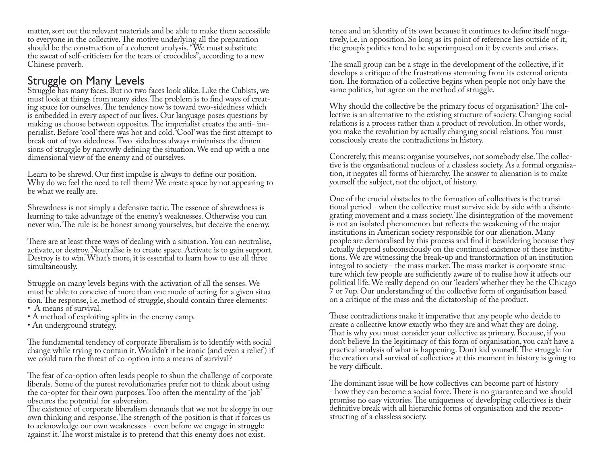matter, sort out the relevant materials and be able to make them accessible to everyone in the collective. The motive underlying all the preparation should be the construction of a coherent analysis. "We must substitute the sweat of self-criticism for the tears of crocodiles", according to a new Chinese proverb.

# Struggle on Many Levels

Struggle has many faces. But no two faces look alike. Like the Cubists, we must look at things from many sides. The problem is to find ways of creating space for ourselves. The tendency now is toward two-sidedness which is embedded in every aspect of our lives. Our language poses questions by making us choose between opposites. The imperialist creates the anti- imperialist. Before 'cool' there was hot and cold. 'Cool' was the first attempt to break out of two sidedness. Two-sidedness always minimises the dimensions of struggle by narrowly defining the situation. We end up with a one dimensional view of the enemy and of ourselves.

Learn to be shrewd. Our first impulse is always to define our position. Why do we feel the need to tell them? We create space by not appearing to be what we really are.

Shrewdness is not simply a defensive tactic. The essence of shrewdness is learning to take advantage of the enemy's weaknesses. Otherwise you can never win. The rule is: be honest among yourselves, but deceive the enemy.

There are at least three ways of dealing with a situation. You can neutralise, activate, or destroy. Neutralise is to create space. Activate is to gain support. Destroy is to win. What's more, it is essential to learn how to use all three simultaneously.

Struggle on many levels begins with the activation of all the senses. We must be able to conceive of more than one mode of acting for a given situation. The response, i.e. method of struggle, should contain three elements:

- A means of survival.
- A method of exploiting splits in the enemy camp.
- An underground strategy.

The fundamental tendency of corporate liberalism is to identify with social change while trying to contain it. Wouldn't it be ironic (and even a relief) if we could turn the threat of co-option into a means of survival?

The fear of co-option often leads people to shun the challenge of corporate liberals. Some of the purest revolutionaries prefer not to think about using the co-opter for their own purposes. Too often the mentality of the 'job' obscures the potential for subversion.

The existence of corporate liberalism demands that we not be sloppy in our own thinking and response. The strength of the position is that it forces us to acknowledge our own weaknesses - even before we engage in struggle against it. The worst mistake is to pretend that this enemy does not exist.

tence and an identity of its own because it continues to define itself nega- tively, i.e. in opposition. So long as its point of reference lies outside of it, the group's politics tend to be superimposed on it by events and crises.

The small group can be a stage in the development of the collective, if it tion. The formation of a collective begins when people not only have the same politics, but agree on the method of struggle.

Why should the collective be the primary focus of organisation? The collective is an alternative to the existing structure of society. Changing social relations is a process rather than a product of revolution. In other words, you make the revolution by actually changing social relations. You must consciously create the contradictions in history.

Concretely, this means: organise yourselves, not somebody else. The collective is the organisational nucleus of a classless society. As a formal organisation, it negates all forms of hierarchy. The answer to alienation is to make yourself the subject, not the object, of history.

One of the crucial obstacles to the formation of collectives is the transitional period - when the collective must survive side by side with a disintegrating movement and a mass society. The disintegration of the movement is not an isolated phenomenon but reflects the weakening of the major institutions in American society responsible for our alienation. Many people are demoralised by this process and find it bewildering because they actually depend subconsciously on the continued existence of these institutions. We are witnessing the break-up and transformation of an institution integral to society - the mass market. The mass market is corporate structure which few people are sufficiently aware of to realise how it affects our political life. We really depend on our 'leaders' whether they be the Chicago 7 or 7up. Our understanding of the collective form of organisation based on a critique of the mass and the dictatorship of the product.

These contradictions make it imperative that any people who decide to create a collective know exactly who they are and what they are doing. That is why you must consider your collective as primary. Because, if you don't believe In the legitimacy of this form of organisation, you can't have a practical analysis of what is happening. Don't kid yourself. The struggle for the creation and survival of collectives at this moment in history is going to be very difficult.

The dominant issue will be how collectives can become part of history - how they can become a social force. There is no guarantee and we should promise no easy victories. The uniqueness of developing collectives is their definitive break with all hierarchic forms of organisation and the reconstructing of a classless society.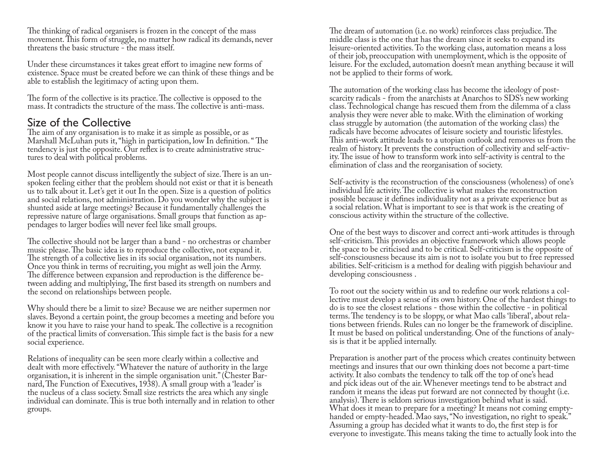The thinking of radical organisers is frozen in the concept of the mass movement. This form of struggle, no matter how radical its demands, never threatens the basic structure - the mass itself.

Under these circumstances it takes great effort to imagine new forms of existence. Space must be created before we can think of these things and be able to establish the legitimacy of acting upon them.

The form of the collective is its practice. The collective is opposed to the mass. It contradicts the structure of the mass. The collective is anti-mass.

### Size of the Collective

The aim of any organisation is to make it as simple as possible, or as Marshall McLuhan puts it, "high in participation, low In definition. " The tendency is just the opposite. Our reflex is to create administrative structures to deal with political problems.

Most people cannot discuss intelligently the subject of size. There is an unspoken feeling either that the problem should not exist or that it is beneath us to talk about it. Let's get it out In the open. Size is a question of politics and social relations, not administration. Do you wonder why the subject is shunted aside at large meetings? Because it fundamentally challenges the repressive nature of large organisations. Small groups that function as appendages to larger bodies will never feel like small groups.

The collective should not be larger than a band - no orchestras or chamber music please. The basic idea is to reproduce the collective, not expand it. The strength of a collective lies in its social organisation, not its numbers. Once you think in terms of recruiting, you might as well join the Army. The difference between expansion and reproduction is the difference between adding and multiplying, The first based its strength on numbers and the second on relationships between people.

Why should there be a limit to size? Because we are neither supermen nor slaves. Beyond a certain point, the group becomes a meeting and before you know it you have to raise your hand to speak. The collective is a recognition of the practical limits of conversation. This simple fact is the basis for a new social experience.

Relations of inequality can be seen more clearly within a collective and dealt with more effectively. "Whatever the nature of authority in the large organisation, it is inherent in the simple organisation unit." (Chester Barnard, The Function of Executives, 1938). A small group with a 'leader' is the nucleus of a class society. Small size restricts the area which any single individual can dominate. This is true both internally and in relation to other groups.

The dream of automation (i.e. no work) reinforces class prejudice. The middle class is the one that has the dream since it seeks to expand its leisure-oriented activities. To the working class, automation means a loss of their job, preoccupation with unemployment, which is the opposite of leisure. For the excluded, automation doesn't mean anything because it will not be applied to their forms of work.

The automation of the working class has become the ideology of postscarcity radicals - from the anarchists at Anarchos to SDS's new working class. Technological change has rescued them from the dilemma of a class analysis they were never able to make. With the elimination of working class struggle by automation (the automation of the working class) the radicals have become advocates of leisure society and touristic lifestyles. This anti-work attitude leads to a utopian outlook and removes us from the realm of history. It prevents the construction of collectivity and self-activity. The issue of how to transform work into self-activity is central to the elimination of class and the reorganisation of society.

Self-activity is the reconstruction of the consciousness (wholeness) of one's individual life activity. The collective is what makes the reconstruction possible because it defines individuality not as a private experience but as a social relation. What is important to see is that work is the creating of conscious activity within the structure of the collective.

One of the best ways to discover and correct anti-work attitudes is through self-criticism. This provides an objective framework which allows people the space to be criticised and to be critical. Self-criticism is the opposite of self-consciousness because its aim is not to isolate you but to free repressed abilities. Self-criticism is a method for dealing with piggish behaviour and developing consciousness .

To root out the society within us and to redefine our work relations a collective must develop a sense of its own history. One of the hardest things to do is to see the closest relations - those within the collective - in political terms. The tendency is to be sloppy, or what Mao calls 'liberal', about relations between friends. Rules can no longer be the framework of discipline. It must be based on political understanding. One of the functions of analy- sis is that it be applied internally.

Preparation is another part of the process which creates continuity between meetings and insures that our own thinking does not become a part-time activity. It also combats the tendency to talk off the top of one's head and pick ideas out of the air. Whenever meetings tend to be abstract and random it means the ideas put forward are not connected by thought (i.e. analysis). There is seldom serious investigation behind what is said. What does it mean to prepare for a meeting? It means not coming emptyhanded or empty-headed. Mao says, "No investigation, no right to speak." Assuming a group has decided what it wants to do, the first step is for everyone to investigate. This means taking the time to actually look into the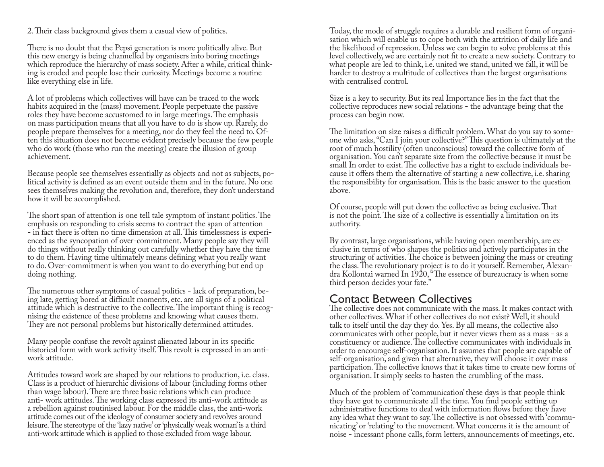2. Their class background gives them a casual view of politics.

There is no doubt that the Pepsi generation is more politically alive. But this new energy is being channelled by organisers into boring meetings which reproduce the hierarchy of mass society. After a while, critical thinking is eroded and people lose their curiosity. Meetings become a routine like everything else in life.

A lot of problems which collectives will have can be traced to the work habits acquired in the (mass) movement. People perpetuate the passive roles they have become accustomed to in large meetings. The emphasis on mass participation means that all you have to do is show up. Rarely, do people prepare themselves for a meeting, nor do they feel the need to. Often this situation does not become evident precisely because the few people who do work (those who run the meeting) create the illusion of group achievement.

Because people see themselves essentially as objects and not as subjects, political activity is defined as an event outside them and in the future. No one sees themselves making the revolution and, therefore, they don't understand how it will be accomplished.

The short span of attention is one tell tale symptom of instant politics. The emphasis on responding to crisis seems to contract the span of attention - in fact there is often no time dimension at all. This timelessness is experienced as the syncopation of over-commitment. Many people say they will do things without really thinking out carefully whether they have the time to do them. Having time ultimately means defining what you really want to do. Over-commitment is when you want to do everything but end up doing nothing.

The numerous other symptoms of casual politics - lack of preparation, being late, getting bored at difficult moments, etc. are all signs of a political attitude which is destructive to the collective. The important thing is recognising the existence of these problems and knowing what causes them. They are not personal problems but historically determined attitudes.

Many people confuse the revolt against alienated labour in its specific historical form with work activity itself. This revolt is expressed in an antiwork attitude.

Attitudes toward work are shaped by our relations to production, i.e. class. Class is a product of hierarchic divisions of labour (including forms other than wage labour). There are three basic relations which can produce anti- work attitudes. The working class expressed its anti-work attitude as a rebellion against routinised labour. For the middle class, the anti-work attitude comes out of the ideology of consumer society and revolves around leisure. The stereotype of the 'lazy native' or 'physically weak woman' is a third anti-work attitude which is applied to those excluded from wage labour.

Today, the mode of struggle requires a durable and resilient form of organi- sation which will enable us to cope both with the attrition of daily life and the likelihood of repression. Unless we can begin to solve problems at this level collectively, we are certainly not fit to create a new society. Contrary to what people are led to think, i.e. united we stand, united we fall, it will be harder to destroy a multitude of collectives than the largest organisations with centralised control.

Size is a key to security. But its real Importance lies in the fact that the collective reproduces new social relations - the advantage being that the process can begin now.

The limitation on size raises a difficult problem. What do you say to someone who asks, "Can I join your collective?" This question is ultimately at the root of much hostility (often unconscious) toward the collective form of organisation. You can't separate size from the collective because it must be small In order to exist. The collective has a right to exclude individuals because it offers them the alternative of starting a new collective, i.e. sharing the responsibility for organisation. This is the basic answer to the question above.

Of course, people will put down the collective as being exclusive. That is not the point. The size of a collective is essentially a limitation on its authority.

By contrast, large organisations, while having open membership, are exclusive in terms of who shapes the politics and actively participates in the structuring of activities. The choice is between joining the mass or creating the class. The revolutionary project is to do it yourself. Remember, Alexandra Kollontai warned In 1920, "The essence of bureaucracy is when some third person decides your fate."

# Contact Between Collectives

The collective does not communicate with the mass. It makes contact with other collectives. What if other collectives do not exist? Well, it should talk to itself until the day they do. Yes. By all means, the collective also communicates with other people, but it never views them as a mass - as a constituency or audience. The collective communicates with individuals in order to encourage self-organisation. It assumes that people are capable of self-organisation, and given that alternative, they will choose it over mass participation. The collective knows that it takes time to create new forms of organisation. It simply seeks to hasten the crumbling of the mass.

Much of the problem of 'communication' these days is that people think they have got to communicate all the time. You find people setting up administrative functions to deal with information flows before they have any idea what they want to say. The collective is not obsessed with 'communicating' or 'relating' to the movement. What concerns it is the amount of noise - incessant phone calls, form letters, announcements of meetings, etc.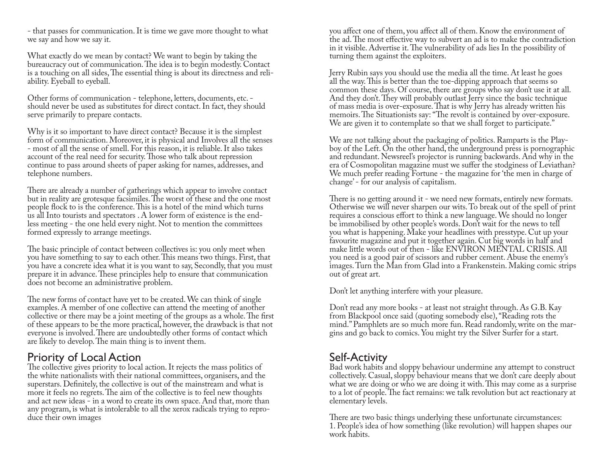- that passes for communication. It is time we gave more thought to what we say and how we say it.

What exactly do we mean by contact? We want to begin by taking the bureaucracy out of communication. The idea is to begin modestly. Contact is a touching on all sides, The essential thing is about its directness and reli- ability. Eyeball to eyeball.

Other forms of communication - telephone, letters, documents, etc. should never be used as substitutes for direct contact. In fact, they should serve primarily to prepare contacts.

Why is it so important to have direct contact? Because it is the simplest form of communication. Moreover, it is physical and Involves all the senses - most of all the sense of smell. For this reason, it is reliable. It also takes account of the real need for security. Those who talk about repression continue to pass around sheets of paper asking for names, addresses, and telephone numbers.

There are already a number of gatherings which appear to involve contact but in reality are grotesque facsimiles. The worst of these and the one most people flock to is the conference. This is a hotel of the mind which turns us all Into tourists and spectators . A lower form of existence is the endless meeting - the one held every night. Not to mention the committees formed expressly to arrange meetings.

The basic principle of contact between collectives is: you only meet when you have something to say to each other. This means two things. First, that you have a concrete idea what it is you want to say, Secondly, that you must prepare it in advance. These principles help to ensure that communication does not become an administrative problem.

The new forms of contact have yet to be created. We can think of single examples. A member of one collective can attend the meeting of another collective or there may be a joint meeting of the groups as a whole. The first of these appears to be the more practical, however, the drawback is that not everyone is involved. There are undoubtedly other forms of contact which are likely to develop. The main thing is to invent them.

# Priority of Local Action

The collective gives priority to local action. It rejects the mass politics of the white nationalists with their national committees, organisers, and the superstars. Definitely, the collective is out of the mainstream and what is more it feels no regrets. The aim of the collective is to feel new thoughts and act new ideas - in a word to create its own space. And that, more than any program, is what is intolerable to all the xerox radicals trying to reproduce their own images

you affect one of them, you affect all of them. Know the environment of the ad. The most effective way to subvert an ad is to make the contradiction in it visible. Advertise it. The vulnerability of ads lies In the possibility of turning them against the exploiters.

Jerry Rubin says you should use the media all the time. At least he goes all the way. This is better than the toe-dipping approach that seems so common these days. Of course, there are groups who say don't use it at all. And they don't. They will probably outlast Jerry since the basic technique of mass media is over-exposure. That is why Jerry has already written his memoirs. The Situationists say: "The revolt is contained by over-exposure. We are given it to contemplate so that we shall forget to participate."

We are not talking about the packaging of politics. Ramparts is the Playboy of the Left. On the other hand, the underground press is pornographic and redundant. Newsreel's projector is running backwards. And why in the era of Cosmopolitan magazine must we suffer the stodginess of Leviathan? We much prefer reading Fortune - the magazine for 'the men in charge of change' - for our analysis of capitalism.

There is no getting around it - we need new formats, entirely new formats. Otherwise we will never sharpen our wits. To break out of the spell of print requires a conscious effort to think a new language. We should no longer be immobilised by other people's words. Don't wait for the news to tell you what is happening. Make your headlines with presstype. Cut up your favourite magazine and put it together again. Cut big words in half and make little words out of then - like ENVIRON MENTAL CRISIS. All you need is a good pair of scissors and rubber cement. Abuse the enemy's images. Turn the Man from Glad into a Frankenstein. Making comic strips out of great art.

Don't let anything interfere with your pleasure.

Don't read any more books - at least not straight through. As G.B. Kay from Blackpool once said (quoting somebody else), "Reading rots the gins and go back to comics. You might try the Silver Surfer for a start.

# Self-Activity

Bad work habits and sloppy behaviour undermine any attempt to construct collectively. Casual, sloppy behaviour means that we don't care deeply about what we are doing or who we are doing it with. This may come as a surprise to a lot of people. The fact remains: we talk revolution but act reactionary at elementary levels.

There are two basic things underlying these unfortunate circumstances: 1. People's idea of how something (like revolution) will happen shapes our work habits.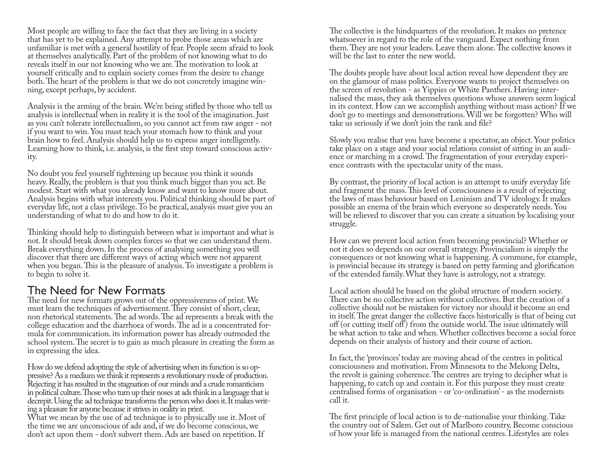Most people are willing to face the fact that they are living in a society that has yet to be explained. Any attempt to probe those areas which are unfamiliar is met with a general hostility of fear. People seem afraid to look at themselves analytically. Part of the problem of not knowing what to do reveals itself in our not knowing who we are. The motivation to look at yourself critically and to explain society comes from the desire to change both. The heart of the problem is that we do not concretely imagine winning, except perhaps, by accident.

Analysis is the arming of the brain. We're being stifled by those who tell us analysis is intellectual when in reality it is the tool of the imagination. Just as you can't tolerate intellectualism, so you cannot act from raw anger - not if you want to win. You must teach your stomach how to think and your brain how to feel. Analysis should help us to express anger intelligently. Learning how to think, i.e. analysis, is the first step toward conscious activity.

No doubt you feel yourself tightening up because you think it sounds heavy. Really, the problem is that you think much bigger than you act. Be modest. Start with what you already know and want to know more about. Analysis begins with what interests you. Political thinking should be part of everyday life, not a class privilege. To be practical, analysis must give you an understanding of what to do and how to do it.

Thinking should help to distinguish between what is important and what is not. It should break down complex forces so that we can understand them. Break everything down. In the process of analysing something you will discover that there are different ways of acting which were not apparent when you began. This is the pleasure of analysis. To investigate a problem is to begin to solve it.

# The Need for New Formats

The need for new formats grows out of the oppressiveness of print. We must learn the techniques of advertisement. They consist of short, clear, non rhetorical statements. The ad words. The ad represents a break with the college education and the diarrhoea of words. The ad is a concentrated formula for communication. its information power has already outmoded the school system. The secret is to gain as much pleasure in creating the form as in expressing the idea.

How do we defend adopting the style of advertising when its function is so op- pressive? As a medium we think it represents a revolutionary mode of production. Rejecting it has resulted in the stagnation of our minds and a crude romanticism in political culture. Those who turn up their noses at ads think in a language that is decrepit. Using the ad technique transforms the person who does it. It makes writing a pleasure for anyone because it strives in orality in print.

What we mean by the use of ad technique is to physically use it. Most of the time we are unconscious of ads and, if we do become conscious, we don't act upon them - don't subvert them. Ads are based on repetition. If

The collective is the hindquarters of the revolution. It makes no pretence whatsoever in regard to the role of the vanguard. Expect nothing from them. They are not your leaders. Leave them alone. The collective knows it will be the last to enter the new world.

The doubts people have about local action reveal how dependent they are on the glamour of mass politics. Everyone wants to project themselves on the screen of revolution - as Yippies or White Panthers. Having internalised the mass, they ask themselves questions whose answers seem logical in its context. How can we accomplish anything without mass action? If we don't go to meetings and demonstrations. Will we be forgotten? Who will take us seriously if we don't join the rank and file?

Slowly you realise that you have become a spectator, an object. Your politics take place on a stage and your social relations consist of sitting in an audience or marching in a crowd. The fragmentation of your everyday experience contrasts with the spectacular unity of the mass.

By contrast, the priority of local action is an attempt to unify everyday life and fragment the mass. This level of consciousness is a result of rejecting the laws of mass behaviour based on Leninism and TV ideology. It makes possible an enema of the brain which everyone so desperately needs. You will be relieved to discover that you can create a situation by localising your struggle.

How can we prevent local action from becoming provincial? Whether or not it does so depends on our overall strategy. Provincialism is simply the consequences or not knowing what is happening. A commune, for example, is provincial because its strategy is based on petty farming and glorification of the extended family. What they have is astrology, not a strategy.

Local action should be based on the global structure of modern society. There can be no collective action without collectives. But the creation of a collective should not be mistaken for victory nor should it become an end in itself. The great danger the collective faces historically is that of being cut off (or cutting itself off) from the outside world. The issue ultimately will be what action to take and when. Whether collectives become a social force depends on their analysis of history and their course of action.

In fact, the 'provinces' today are moving ahead of the centres in political consciousness and motivation. From Minnesota to the Mekong Delta, the revolt is gaining coherence. The centres are trying to decipher what is happening, to catch up and contain it. For this purpose they must create centralised forms of organisation - or 'co-ordination' - as the modernists call it.

The first principle of local action is to de-nationalise your thinking. Take the country out of Salem. Get out of Marlboro country. Become conscious of how your life is managed from the national centres. Lifestyles are roles